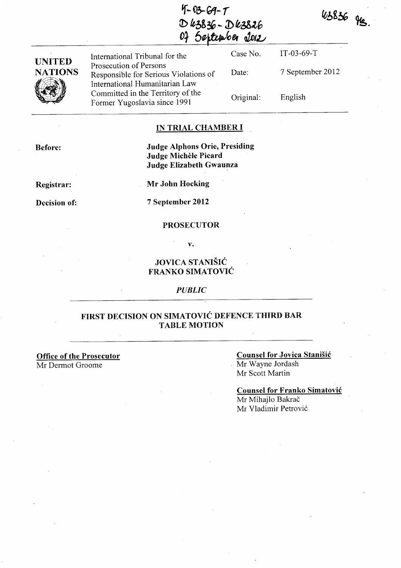$4 - 03 - 69 - 7$  $D k3836 - D k3826$  $0$ <sup>2</sup> September <u>2012</u>

43836 gg

| <b>UNITED</b>  | International Tribunal for the                                                                    | Case No.  | $IT-03-69-T$     |
|----------------|---------------------------------------------------------------------------------------------------|-----------|------------------|
| <b>NATIONS</b> | Prosecution of Persons<br>Responsible for Serious Violations of<br>International Humanitarian Law | Date:     | 7 September 2012 |
| <u>Villa </u>  | Committed in the Territory of the<br>Former Yugoslavia since 1991                                 | Original: | English          |

### IN TRIAL CHAMBER I

Before:

# Judge Alphons Orie, Presiding Judge Michele Picard Judge Elizabeth Gwaunza

Registrar:

Mr John Hocking

Decision of:

7 September 2012

#### PROSECUTOR

v.

# JOVICA STANISIC FRANKO SIMATOVIC

#### *PUBLIC*

## FIRST DECISION ON SIMATOVIC DEFENCE THIRD BAR TABLE MOTION

Office of the Prosecutor Mr Dermot Groome

#### Counsel for Jovica Stanisic Mr Wayne lordash Mr Scott Martin

# Counsel for Franko Simatovic

Mr Mihajlo Bakrač Mr Vladimir Petrović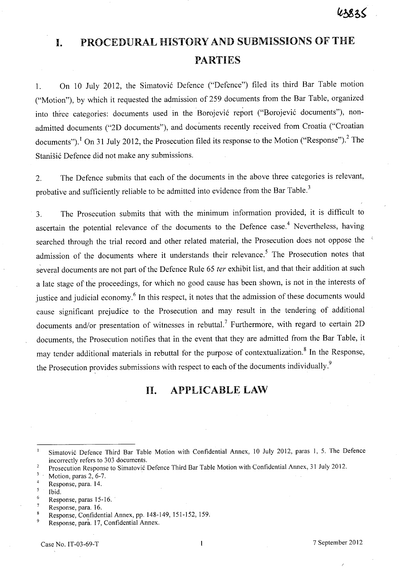# **I. PROCEDURAL HISTORY AND SUBMISSIONS OF THE PARTIES**

1. On 10 July 2012, the Simatović Defence ("Defence") filed its third Bar Table motion ("Motion"), by which it requested the admission of 259 documents from the Bar Table, organized into three categories: documents used in the Borojević report ("Borojević documents"), nonadmitted documents ("2D documents"), and documents recently received from Croatia ("Croatian documents").<sup>1</sup> On 31 July 2012, the Prosecution filed its response to the Motion ("Response").<sup>2</sup> The Stanišić Defence did not make any submissions.

2. The Defence submits that each of the documents in the above three categories is relevant, probative and sufficiently reliable to be admitted into evidence from the Bar Table.<sup>3</sup>

3. The Prosecution submits that with the minimum information provided, it is difficult to ascertain the potential relevance of the documents to the Defence case.<sup>4</sup> Nevertheless, having searched through the trial record and other related material, the Prosecution does not oppose the ' admission of the documents where it understands their relevance.<sup>5</sup> The Prosecution notes that several documents are not part of the Defence Rule 65 ter exhibit list, and that their addition at such a late stage of the proceedings, for which no good cause has been shown, is not in the interests of justice and judicial economy. <sup>6</sup>**In** this respect, it notes that the admission of these documents would cause significant prejudice to the Prosecution and may result in the tendering of additional documents and/or presentation of witnesses in rebuttal.<sup>7</sup> Furthermore, with regard to certain 2D documents, the Prosecution notifies that in the event that they are admitted from the Bar Table, it may tender additional materials in rebuttal for the purpose of contextualizahon. <sup>8</sup>**In** the Response, the Prosecution provides submissions with respect to each of the documents individually.<sup>9</sup>

# **11. APPLICABLE LAW**

- $\overline{4}$ Response, para. 14.
- 5 Ibid.
- 6 Response, paras 15-16. '
- $\boldsymbol{7}$ Response, para. 16.

9 Response, para. 17, Confidential Annex.

Simatovic Defence Third Bar Table Motion with Confidential Annex, 10 July 2012, paras 1, 5. The Defence incorrectly refers to 303 documents.

Prosecution Response to Simatović Defence Third Bar Table Motion with Confidential Annex, 31 July 2012.

 $\overline{\mathbf{3}}$ Motion, paras 2, 6-7.

 $\overline{\mathbf{8}}$ Response, Confidential Annex, pp. 148-149, 151-152, 159.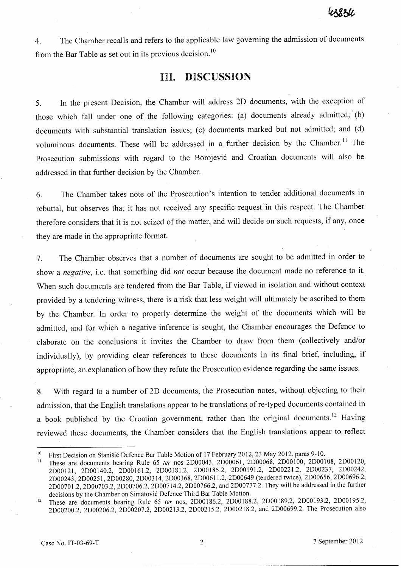4. The Chamber recalls and refers to the applicable law governing the admission of documents from the Bar Table as set out in its previous decision.<sup>10</sup>

# **III. DISCUSSION**

5. In the present Decision, the Chamber will address 2D documents, with the exception of those which fall under one of the following categories: (a) documents already admitted; (b) documents with substantial translation issues; (c) documents marked but not admitted; and (d) voluminous documents. These will be addressed in a further decision by the Chamber.<sup>11</sup> The Prosecution submissions with regard to the Borojević and Croatian documents will also be addressed in that further decision by the Chamber.

6. The Chamber takes note of the Prosecution's intention to tender additional documents in rebuttal, but observes that it has not received any specific request 'in this respect. The Chamber therefore considers that it is not seized of the matter, and will decide on such requests, if any, once they are made in the appropriate format.

7. The Chamber observes that a number of documents are sought to be admitted in order to show a *negative,* i.e. that something did *not* occur because the document made no reference to it. When such documents are tendered from the Bar Table, if viewed in isolation and without context provided by a tendering witness, there is a risk that less weight will ultimately be ascribed to them by the Chamber. In order to properly determine the weight of the documents which will be admitted, and for which a negative inference is sought, the Chamber encourages the Defence to elaborate on the conclusions it invites the Chamber to draw from them (collectively and/or individually), by providing clear references to these documents in its final brief, including, if appropriate, an, explanation of how they refute the Prosecution evidence regarding the same issues.

8. With regard to a number of 2D documents, the Prosecution notes, without objecting to their admission, that the English translations appear to be translations of re-typed documents contained in a book published by the Croatian government, rather than the original documents.<sup>12</sup> Having reviewed these documents, the Chamber considers that the English translations appear to .reflect

<sup>&</sup>lt;sup>10</sup> First Decision on Stanišić Defence Bar Table Motion of 17 February 2012, 23 May 2012, paras 9-10.<br><sup>11</sup> These are deguments begring Rule 65 fer nos 2D00043, 2D00061, 2D00068, 2D00100, 2D001

<sup>11</sup>These are documents bearing Rule 65 *ler* nos 2D00043, 2D00061, 2D00068, 2DOOI00, 2DOOI08, 2D00120, 2D00121, 2D00140.2, 2D00161.2, 2D00181.2, 2D00185.2, 2D00191.2, 2D00221.2, 2D00237, 2D00242, 2D00243, 2D00251, 2D00280, 2D00314, 2D00368, 2D0061 1.2, 2D00649 (tendered twice), 2D00656, 2D00696.2, 2D00701.2, 2D00703.2, 2D00706.2, 2D00714.2, 2D00766.2, and 2D00777.2. They will be addressed in the further decisions by the Chamber on Simatović Defence Third Bar Table Motion.

<sup>&</sup>lt;sup>12</sup> These are documents bearing Rule 65 ter nos, 2D00186.2, 2D00188.2, 2D00189.2, 2D00193.2, 2D00195.2, 2D00200.2, 2D00206.2, 2D00207.2, 2D00213.2,2D00215.2, 2D00218.2, and 2D00699.2. The Prosecution also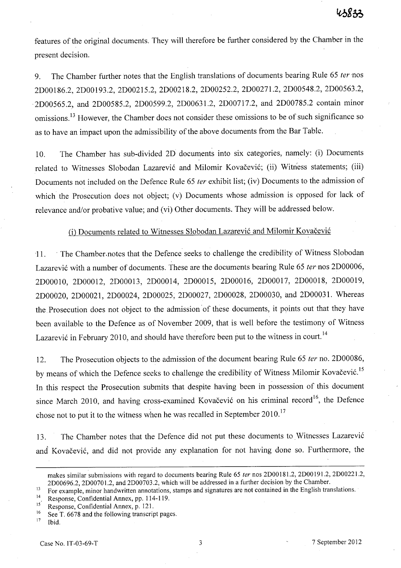features of the original documents. They will therefore be further considered by the Chamber in the present decision.

9. The Chamber further hotes that the English translations of documents bearing Rule 65 *ter* 'nos 2DOOI86.2, 2DOOI93.2, 2D00215.2, 2D00218.2, 2D00252.2, 2D00271.2, 2D00548.2, 2D00563.2, ~2D00565.2, and 2D00585.2, 2D00599.2, 2D00631.2, 2D00717.2, and 2D00785.2 contain minor omissions.<sup>13</sup> However, the Chamber does not consider these omissions to be of such significance so as to have an impact upon the admissibility of the above documents from the Bar Table.

10. The Chamber has sub-divided 2D documents into six categories, namely: (i) Documents related to Witnesses Slobodan Lazarević and Milomir Kovačević; (ii) Witness statements; (iii) Documents not included on the Defence Rule 65 *ter* exhibit list; (iv) Documents to the admission of which the Prosecution does not object; (v) Documents whose admission is opposed for lack of relevance and/or probative value; and (vi) Other documents. They will be addressed below.

# (i) Documents related to Witnesses Slobodan Lazarević and Milomir Kovačević

'11. . The Chamber. notes that the Defence seeks to challenge the credibility of Witness Slobodan Lazarevi6 with a number of documents. These are the documents bearing Rule 65 *ter-nos* 2D00006, 2DOOOI0, 2DOOOI2, 2DOOOI3, 2DOOOI4, 2DOOOI5, 2DOOOI6, 2DOOOI7, 2DOOOI8, 2DOOOI9, 2D00020, 2D00021, 2D00024, 2D00025; 2D00027, 2D00028, 2D00030, and 2D00031. Whereas the Prosecution does not object to the admission of these documents, it points out that they have been available to the Defence as of November 2009, that is well before the testimony of Witness Lazarević in February 2010, and should have therefore been put to the witness in court.<sup>14</sup>

12. The Prosecution objects to the admission of the document bearing Rule 65 *ter* no. 2D00086, by means of which the Defence seeks to challenge the credibility of Witness Milomir Kovačević.<sup>15</sup> In this respect the Prosecution submits that despite having been in possession of this document since March 2010, and having cross-examined Kovačević on his criminal record<sup>16</sup>, the Defence chose not to put it to the witness when he was recalled in September 2010.<sup>17</sup>

13. The Chamber notes that the Defence did not put these documents to Witnesses Lazarevi6 and Kovačević, and did not provide any explanation for not having done so. Furthermore, the

makes similar submissions with regard to documents bearing Rule 65 *ter* nos 2DOO 181.2, 2DOO 191.2, 2D00221.2, 2D00696.2, 2D00701.2, and 2D00703.2, which will be addressed in a further decision by the Chamber.

<sup>&</sup>lt;sup>13</sup> For example, minor handwritten annotations, stamps and signatures are not contained in the English translations.

<sup>14</sup> Response, Confidential Annex, pp. 114-119.

<sup>&</sup>lt;sup>15</sup> Response, Confidential Annex, p. 121.<br><sup>16</sup> See T. 6678 and the following transcription

<sup>&</sup>lt;sup>16</sup> See T. 6678 and the following transcript pages.<br><sup>17</sup> Ibid

Ibid.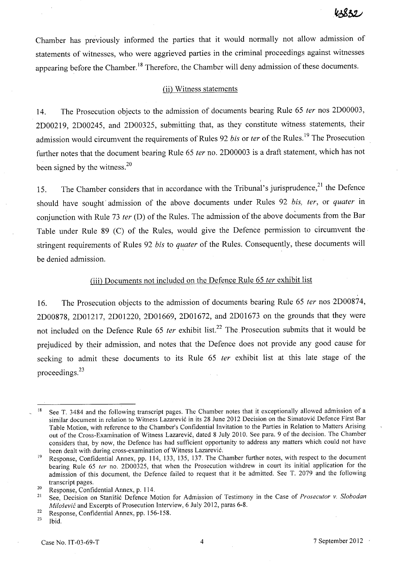Chamber has previously informed the parties that it would normally not allow admission of statements of witnesses, who were aggrieved parties in the criminal proceedings against witnesses appearing before the Chamber.<sup>18</sup> Therefore, the Chamber will deny admission of these documents.

#### (ii) Witness statements

14. The Prosecution objects to the admission of documents bearing Rule 65 *ter* nos 2D00003, 2D00219, 2D00245, and 2D00325, submitting that, as they constitute witness statements, their admission would circumvent the requirements of Rules 92 *bis* or *ter* of the Rules. 19 The Prosecution further notes that the document bearing Rule 65 *ter* no. 2D00003 is a draft statement, which has not been signed by the witness. $20$ 

,

15. The Chamber considers that in accordance with the Tribunal's jurisprudence,<sup>21</sup> the Defence should have soughf admission of the above documents under Rules 92 *bis, ter,* or *quater* in conjunction with Rule 73 *ter* (D) of the Rules. The admission of the above documents from the Bar Table under Rule 89 (C) of the Rules, would give the Defence permission to circumvent the stringent requirements of Rules 92 *bis* to *quater* of the Rules. Consequently, these documents will be denied admission.

# (iii) Documents not included on the Defence Rule 65 *ter* exhibit list

16. The Prosecution objects to the admission of documents bearing Rule 65 *ter* nos 2D00874, 2D00878, 2D01217, 2D01220, 2D01669, 2D01672, and 2D01673 on the grounds that they were not included on the Defence Rule 65 *ter* exhibit list.<sup>22</sup> The Prosecution submits that it would be prejudiced by their admission, and notes that the Defence does not provide any good cause for seeking to admit these documents to its Rule 65 *ter* exhibit list at this late stage of the proceedings.<sup>23</sup>

<sup>&</sup>lt;sup>18</sup> See T. 3484 and the following transcript pages. The Chamber notes that it exceptionally allowed admission of a similar document in relation to Witness Lazarevic in its 28 June 2012 Decision on the Simatovic Defence First Bar Table Motion, with reference to the Chamber's Confidential Invitation to the Parties in Relation to Matters Arising out of the Cross-Examination of Witness Lazarevic, dated 8 July 2010. See para. 9 of the decision. The Chamber considers that, by now, the Defence has had sufficient opportunity to address any matters which could not have been dealt with during cross-examination of Witness Lazarevic.

<sup>&</sup>lt;sup>19</sup> Response, Confidential Annex, pp. 114, 133, 135, 137. The Chamber further notes, with respect to the document bearing Rule 65 *fer* no. 2D00325, that when the Prosecution withdrew in court its initial application for the admission of this document, the Defence failed to request that it be admitted. See T. 2079 and the following transcript pages.

<sup>20</sup> Response, Confidential Annex, p. 114.

<sup>21</sup> See, Decision on Stanisic Defence Motion for Admission of Testimony in the Case of *Prosecutor* v. *Slobodan Milosevic* and Excerpts of Prosecution Interview, 6 July 2012, paras 6-8.

<sup>&</sup>lt;sup>22</sup> Response, Confidential Annex, pp. 156-158.<br><sup>23</sup> Ibid

Ibid.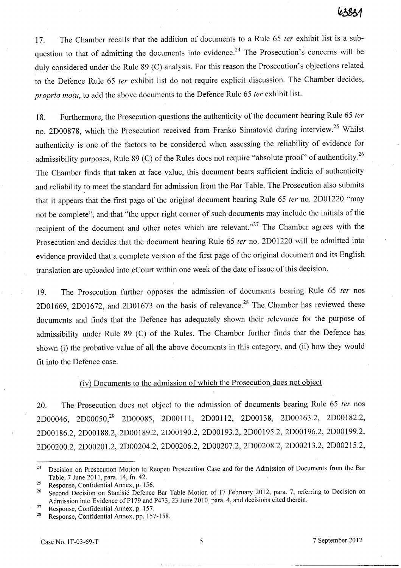17. The Chamber recalls that the addition of documents to a Rule 65 ter exhibit list is a subquestion to that of admitting the documents into evidence.<sup>24</sup> The Prosecution's concerns will be duly considered under the Rule 89 (C) analysis. For this reason the Prosecution's objections related to the Defence Rule 65 *ter* exhibit list do not require explicit discussion. The Chamber decides, proprio motu, to add the above documents to the Defence Rule 65 ter exhibit list.

18. Furthermore, the Prosecution questions the authenticity of the document bearing Rule 65 ter no. 2D00878, which the Prosecution received from Franko Simatović during interview.<sup>25</sup> Whilst authenticity is one of the factors to be considered when assessing the reliability of evidence for admissibility purposes, Rule 89 (C) of the Rules does not require "absolute proof" of authenticity.<sup>26</sup> The Chamber finds that taken at face value, this document bears sufficient indicia of authenticity and reliability to meet the standard for admission from the Bar Table. The Prosecution also submits that it appears that the first page of the original document bearing Rule 65 *ter* no. 2D01220 "may not be complete", and that "the upper right corner of such documents may include the initials of the recipient of the document and other notes which are relevant."<sup>27</sup> The Chamber agrees with the Prosecution and decides that the document bearing Rule 65 ter no. 2D01220 will be admitted into evidence provided that a complete version of the first page of the original document and its English translation are uploaded into eCourt within one week of the date of issue of this decision.

19. The Prosecution further opposes the admission of documents bearing Rule 65 ter nos 2D01669, 2D01672, and 2D01673 on the basis of relevance.<sup>28</sup> The Chamber has reviewed these documents and finds that the Defence has adequately shown their relevance for the purpose of admissibility under Rule 89 (C) of the Rules. The Chamber further finds that the Defence has shown (i) the probative value of all the above documents in this category, and (ii) how they would fit into the Defence case.

#### (iv) Documents to the admission of which the Prosecution does not object

20. The Prosecution does not object to the admission of documents bearing Rule 65 ter nos 2D00046, 2D00050,29 2D00085, 2DOOlll, 2D00112, 2D00138, 2DOOI63.2, 2DOOI82.2, 2DOOI86.2, 2DOOI88.2, 2DOOI89.2, 2DOOI90.2, 2DOOI93.2, 2DOOI95.2, 2DOOI96.2, 2DOOI99.2, 2D00200.2, 2D00201.2, 2D00204.2, 2D00206.2, 2D00207.2, 2D00208.2, 2D00213.2, 2D00215.2,

<sup>&</sup>lt;sup>24</sup> Decision on Prosecution Motion to Reopen Prosecution Case and for the Admission of Documents from the Bar Table, 7 June 2011, para. 14, fn. 42.

<sup>25</sup> Response, Confidential Annex, p. 156.

<sup>&</sup>lt;sup>26</sup> Second Decision on Stanišić Defence Bar Table Motion of 17 February 2012, para. 7, referring to Decision on Admission into Evidence of P179 and P473, 23 June 2010, para. 4, and decisions cited therein.

<sup>&</sup>lt;sup>27</sup> Response, Confidential Annex, p. 157.

<sup>28</sup> Response, Confidential Annex, pp. 157-158.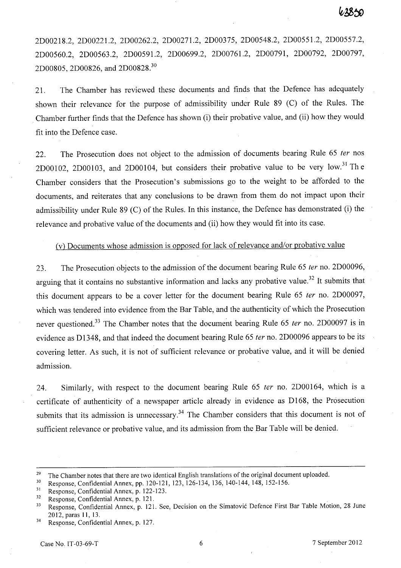2D00218.2, 2D00221.2, 2D00262.2, 2D00271.2, 2D00375, 2D00548.2, 2D00551.2, 2D00557.2, 2D00560.2, 2D00563.2, 2D00591.2, 2D00699.2, 2D00761.2, 2D00791, 2D00792, 2D00797, 2D00805, 2D00826, and 2D00828.<sup>30</sup>

21. The Chamber has reviewed these documents and finds that the Defence has adequately shown their relevance for the purpose of admissibility under Rule 89 (C) of the Rules. The Chamber further finds that the Defence has shown (i) their probative value, and (ii) how they would fit into the Defence case.

22. The Prosecution does not object to the admission of documents bearing Rule 65 ter nos 2D00102, 2D00103, and 2D00104, but considers their probative value to be very low.<sup>31</sup> The Chamber considers that the Prosecution's submissions go to the weight to be afforded to the documents, and reiterates that any conclusions to be drawn from them do not impact upon their admissibility under Rule 89 (C) of the Rules. **In** this instance, the Defence has demonstrated (i) the relevance and probative value of the documents and (ii) how they would fit into its case.

### Cv) Documents whose admission is opposed for lack of relevance and/or probative value

23. The Prosecution objects to the admission of the document bearing Rule 65 ter no. 2D00096, arguing that it contains no substantive information and lacks any probative value.<sup>32</sup> It submits that this document appears to be a cover letter for the document bearing Rule 65 ter no. 2D00097, which was tendered into evidence from the Bar Table, and the authenticity of which the Prosecution never questioned.<sup>33</sup> The Chamber notes that the document bearing Rule 65 *ter* no. 2D00097 is in evidence as D1348, and that indeed the document bearing Rule 65 ter no. 2D00096 appears to be its covering letter. As such, it is not of sufficient relevance or probative value, and it will be denied admission.

24. Similarly, with respect to the document bearing Rule 65 *ter* no. 2D00164, which is a certificate of authenticity of a newspaper article already in evidence as D168, the Prosecution submits that its admission is unnecessary.<sup>34</sup> The Chamber considers that this document is not of sufficient relevance or probative value, and its admission from the Bar Table will be denied.

<sup>&</sup>lt;sup>29</sup> The Chamber notes that there are two identical English translations of the original document uploaded.<br><sup>30</sup> Bername, Canfidantial Annay np. 120, 121, 123, 126, 134, 136, 140-144, 148, 152-156.

<sup>&</sup>lt;sup>30</sup> Response, Confidential Annex, pp. 120-121, 123, 126-134, 136, 140-144, 148, 152-156.<br><sup>31</sup> Personse, Confidential Annex, p. 122, 123.

Response, Confidential Annex, p. 122-123.

<sup>32</sup> Response, Confidential Annex, p. 121.

<sup>&</sup>lt;sup>33</sup> Response, Confidential Annex, p. 121. See, Decision on the Simatovic Defence First Bar Table Motion, 28 June 2012, paras 11, 13.

<sup>34</sup> Response, Confidential Annex, p. 127.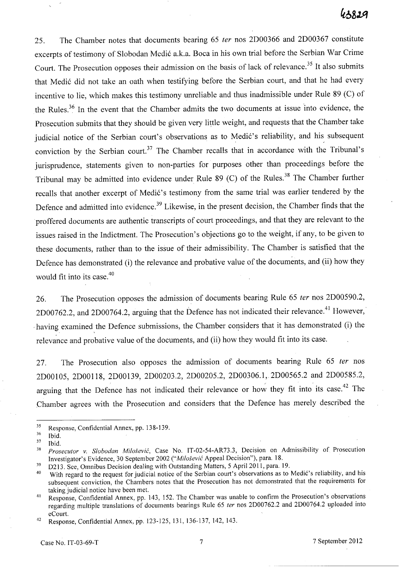25. The Chamber notes that documents bearing 65 fer nos 2D00366 and 2D00367 constitute excerpts of testimony of Slobodan Medic a.k.a. Boca in his own trial before the Serbian War Crime Court. The Prosecution opposes their admission on the basis of lack of relevance.<sup>35</sup> It also submits that Medic did not take an oath when testifying before the Serbian court, and that he had every incentive to lie, which makes this testimony unreliable and thus inadmissible under Rule 89 (C) of the Rules.<sup>36</sup> In the event that the Chamber admits the two documents at issue into evidence, the Prosecution submits that they should be given very little weight, and requests that the Chamber take judicial notice of the Serbian court's observations as to Medić's reliability, and his subsequent conviction by the Serbian court.<sup>37</sup> The Chamber recalls that in accordance with the Tribunal's jurisprudence, statements given to non-parties for purposes other than proceedings before the Tribunal may be admitted into evidence under Rule 89 (C) of the Rules. 38 The Chamber further recalls that another excerpt of Medic's testimony from the same trial was earlier tendered by the Defence and admitted into evidence.<sup>39</sup> Likewise, in the present decision, the Chamber finds that the proffered documents are authentic transcripts of court proceedings, and that they are relevant to the issues raised in the Indictment. The Prosecution's objections go to the weight, if any, to be given to these documents, rather than to the issue of their admissibility. The Chamber is satisfied that the Defence has demonstrated (i) the relevance and probative value of the documents, and (ii) how they would fit into its case. $40$ 

26. The Prosecution opposes the admission of documents bearing Rule 65 ter nos 2D00590.2, 2D00762.2, and 2D00764.2, arguing that the Defence has not indicated their relevance.<sup>41</sup> However, having examined the Defence submissions, the Chamber considers that it has demonstrated (i) the relevance and probative value of the documents, and (ii) how they would fit into its case.

27. The Prosecution also opposes the admission of documents bearing Rule 65 ter nos 2DOOI05, 2DOOl18, 2D00139, 2D00203.2, 2D00205.2, 2D00306.1, 2D00565.2 and 2D00585.2, arguing that the Defence has not indicated their relevance or how they fit into its case.<sup>42</sup> The Chamber agrees with the Prosecution and considers that the Defence has merely described the

 $\frac{35}{36}$  Response, Confidential Annex, pp. 138-139.

Ibid.

 $37$  Ibid.

*<sup>38</sup> Prosecutor* v, *Slobodan Milosevic,* Case No. IT-02-54-AR73.3, Decision on Admissibility of Prosecution Investigator's Evidence, 30 September 2002 *("Milosevic* Appeal Decision"), para. 18.

<sup>&</sup>lt;sup>39</sup> D213. See, Omnibus Decision dealing with Outstanding Matters, 5 April 2011, para. 19.

<sup>&</sup>lt;sup>40</sup> With regard to the request for judicial notice of the Serbian court's observations as to Medic's reliability, and his subsequent conviction, the Chambers notes that the Prosecution has not demonstrated that the requirements for taking judicial notice have been met.

<sup>&</sup>lt;sup>41</sup> Response, Confidential Annex, pp. 143, 152. The Chamber was unable to confirm the Prosecution's observations regarding multiple translations of documents bearings Rule 65 *ter* nos 2000762.2 and 2000764.2 uploaded into eCourt.

<sup>42</sup> Response, Confidential Annex, pp. 123-125, 131, 136-137, 142, 143.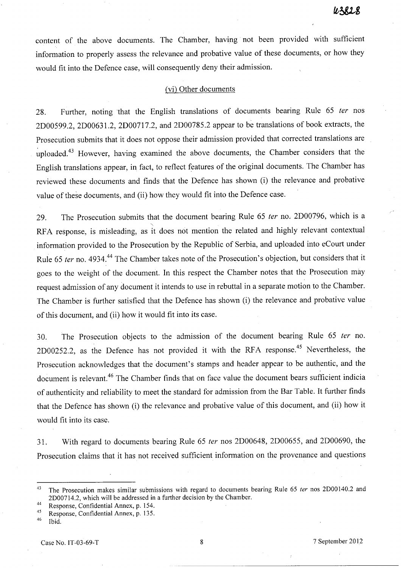content of the above documents. The Chamber, having not been provided with sufficient information to properly assess the relevance and probative value of these documents, or how they would fit into the Defence case, will consequently deny their admission.

#### (vi) Other documents

28. Further, noting that the English translations of documents bearing Rule 65 ter nos 2D00599.2, 2D00631.2, 2D00717.2, and 2D00785.2 appear to be translations of book extracts, the Prosecution submits that it does not oppose their admission provided that corrected translations are uploaded.<sup>43</sup> However, having examined the above documents, the Chamber considers that the English translations appear, in fact, to reflect features of the original documents. The Chamber has reviewed these documents and finds that the Defence has shown (i) the relevance and probative value of these documents, and (ii) how they would fit into the Defence case.

29. The Prosecution submits that the document bearing Rule 65 fer no. 2D00796, which is a RFA response, is misleading, as it does not mention the related and highly relevant contextual information provided to the Prosecution by the Republic of Serbia, and uploaded into eCourt under Rule 65 ter no. 4934.<sup>44</sup> The Chamber takes note of the Prosecution's objection, but considers that it goes to the weight of the document. In this respect the Chamber notes that the Prosecution may request admission of any document it intends to use in rebuttal in a separate motion to the Chamber. The Chamber is further satisfied that the Defence has shown (i) the relevance and probative value of this document, and (ii) how it would fit into its case.

30. The Prosecution objects to the admission of the document bearing Rule 65 fer no. 2D00252.2, as the Defence has not provided it with the RFA response.<sup>45</sup> Nevertheless, the Prosecution acknowledges that the document's stamps and header appear to be authentic, and the document is relevant.<sup>46</sup> The Chamber finds that on face value the document bears sufficient indicia of authenticity and reliability to meet the standard for admission from the Bar Table. It further finds that the Defence has shown (i) the relevance and probative value of this document, and (ii) how it would fit into its case.

31. With regard to documents bearing Rule 65 fer nos 2D00648, 2D00655, and 2D00690, the Prosecution claims that it has not received sufficient information on the provenance and questions

<sup>&</sup>lt;sup>43</sup> The Prosecution makes similar submissions with regard to documents bearing Rule 65 ter nos 2D00140.2 and 2D00714.2, which will be addressed in a further decision by the Chamber.

<sup>44</sup> Response, Confidential Annex, p. 154.

 $^{45}$  Response, Confidential Annex, p. 135.

Ibid.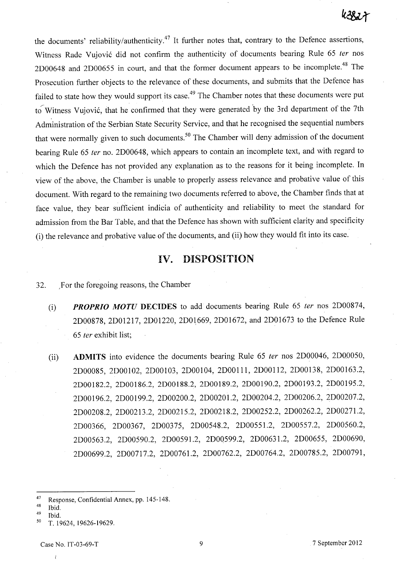the documents' reliability/authenticity.<sup>47</sup> It further notes that, contrary to the Defence assertions, Witness Rade Vujović did not confirm the authenticity of documents bearing Rule 65 ter nos 2D00648 and 2D00655 in court, and that the former document appears to be incomplete.<sup>48</sup> The Prosecution further objects to the relevance of these documents, and submits that the Defence has failed to state how they would support its case.<sup>49</sup> The Chamber notes that these documents were put to-Witness Vujović, that he confirmed that they were generated by the 3rd department of the 7th Administration of the Serbian State Security Service, and that he recognised the sequential numbers that were normally given to such documents.<sup>50</sup> The Chamber will deny admission of the document bearing Rule 65 ter no. 2D00648, which appears to contain an incomplete text, and with regard to which the Defence has not provided any explanation as to the reasons for it being incomplete. In view of the above, the Chamber is unable to properly assess relevance and probative value of this document. With regard to the remaining two documents referred to above, the Chamber finds that at face value, they bear sufficient indicia of authenticity and reliability to meet the standard for admission from the Bar Table, and that the Defence has shown with sufficient clarity and specificity (i) the relevance and probative value of the documents, and (ii) how they would fit into its case.

# **IV. DISPOSITION**

# 32. For the foregoing reasons, the Chamber

- (i) *PROPRIO MOTU* **DECIDES** to add documents bearing Rule 65 {er nos 2D00874, 2D00878, 2D01217, 2D01220, 2D01669, 2D01672, and 2D01673 to the Defence Rule *65* {er exhibit list;
- (ii) **ADMITS** into evidence the documents bearing Rule 65 ter nos 2D00046, 2D00050, 2D00085, 2D00102, 2D00103, 2D00104, 2D00111, 2D00112, 2D00138, 2D00163.2, 2D00182.2, 2D00186.2, 2D00188.2, 2D00189.2, 2D00190.2, 2D00193.2, 2D00195.2, 2D00196.2, 2D00199.2, 2D00200.2, 2D00201.2, 2D00204.2, 2D00206.2, 2D00207.2, 2D00208.2, 2D00213.2, 2D00215.2, 2D00218.2, 2D00252.2, 2D00262.2, 2D00271.2, 2D00366, 2D00367, 2D00375, 2D00548.2, 2D00551.2, 2D00557.2, 2D00560.2, 2D00563.2, 2D00590.2, 2D00591.2, 2D00599.2, 2D0063 1.2, 2D00655, 2D00690, 2D00699.2, 2D00717.2, 2D00761.2, 2D00762.2, 2D00764.2, 2D00785.2, 2D00791,

- $48$  Ibid.
- 49 Ibid.

<sup>47</sup> Response, Confidential Annex, pp. 145-148.

<sup>50</sup> T. 19624, 19626-19629.